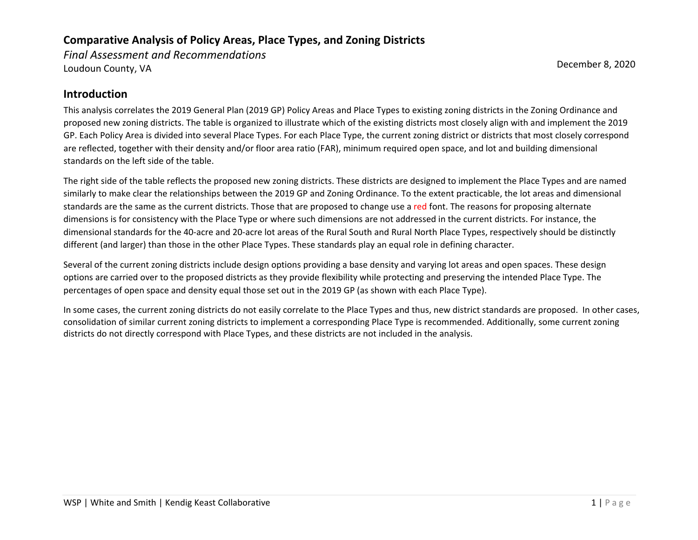*Final Assessment and Recommendations*  Loudoun County, VA December 8, 2020

#### **Introduction**

This analysis correlates the 2019 General Plan (2019 GP) Policy Areas and Place Types to existing zoning districts in the Zoning Ordinance and proposed new zoning districts. The table is organized to illustrate which of the existing districts most closely align with and implement the 2019 GP. Each Policy Area is divided into several Place Types. For each Place Type, the current zoning district or districts that most closely correspond are reflected, together with their density and/or floor area ratio (FAR), minimum required open space, and lot and building dimensional standards on the left side of the table.

The right side of the table reflects the proposed new zoning districts. These districts are designed to implement the Place Types and are named similarly to make clear the relationships between the 2019 GP and Zoning Ordinance. To the extent practicable, the lot areas and dimensional standards are the same as the current districts. Those that are proposed to change use a red font. The reasons for proposing alternate dimensions is for consistency with the Place Type or where such dimensions are not addressed in the current districts. For instance, the dimensional standards for the 40-acre and 20-acre lot areas of the Rural South and Rural North Place Types, respectively should be distinctly different (and larger) than those in the other Place Types. These standards play an equal role in defining character.

Several of the current zoning districts include design options providing a base density and varying lot areas and open spaces. These design options are carried over to the proposed districts as they provide flexibility while protecting and preserving the intended Place Type. The percentages of open space and density equal those set out in the 2019 GP (as shown with each Place Type).

In some cases, the current zoning districts do not easily correlate to the Place Types and thus, new district standards are proposed. In other cases, consolidation of similar current zoning districts to implement a corresponding Place Type is recommended. Additionally, some current zoning districts do not directly correspond with Place Types, and these districts are not included in the analysis.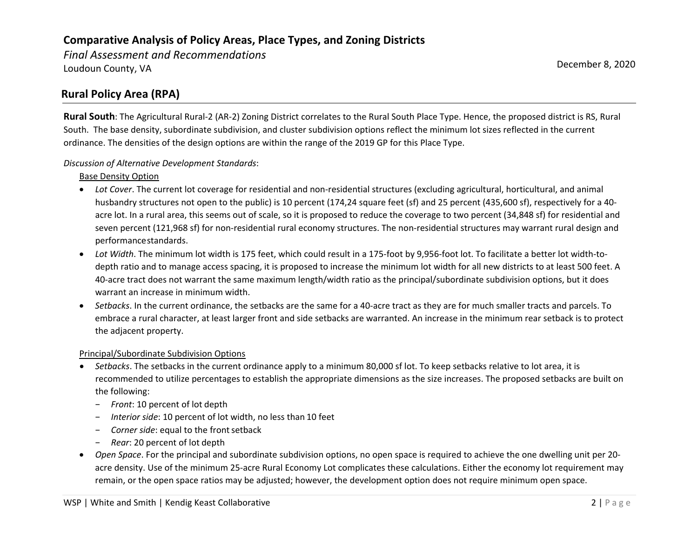*Final Assessment and Recommendations*  Loudoun County, VA December 8, 2020

### **Rural Policy Area (RPA)**

**Rural South**: The Agricultural Rural-2 (AR-2) Zoning District correlates to the Rural South Place Type. Hence, the proposed district is RS, Rural South. The base density, subordinate subdivision, and cluster subdivision options reflect the minimum lot sizes reflected in the current ordinance. The densities of the design options are within the range of the 2019 GP for this Place Type.

#### *Discussion of Alternative Development Standards*:

#### Base Density Option

- *Lot Cover*. The current lot coverage for residential and non-residential structures (excluding agricultural, horticultural, and animal husbandry structures not open to the public) is 10 percent (174,24 square feet (sf) and 25 percent (435,600 sf), respectively for a 40 acre lot. In a rural area, this seems out of scale, so it is proposed to reduce the coverage to two percent (34,848 sf) for residential and seven percent (121,968 sf) for non-residential rural economy structures. The non-residential structures may warrant rural design and performancestandards.
- *Lot Width*. The minimum lot width is 175 feet, which could result in a 175-foot by 9,956-foot lot. To facilitate a better lot width-todepth ratio and to manage access spacing, it is proposed to increase the minimum lot width for all new districts to at least 500 feet. A 40-acre tract does not warrant the same maximum length/width ratio as the principal/subordinate subdivision options, but it does warrant an increase in minimum width.
- *Setbacks*. In the current ordinance, the setbacks are the same for a 40-acre tract as they are for much smaller tracts and parcels. To embrace a rural character, at least larger front and side setbacks are warranted. An increase in the minimum rear setback is to protect the adjacent property.

#### Principal/Subordinate Subdivision Options

- *Setbacks*. The setbacks in the current ordinance apply to a minimum 80,000 sf lot. To keep setbacks relative to lot area, it is recommended to utilize percentages to establish the appropriate dimensions as the size increases. The proposed setbacks are built on the following:
	- − *Front*: 10 percent of lot depth
	- *Interior side*: 10 percent of lot width, no less than 10 feet
	- − *Corner side*: equal to the frontsetback
	- − *Rear*: 20 percent of lot depth
- *Open Space*. For the principal and subordinate subdivision options, no open space is required to achieve the one dwelling unit per 20 acre density. Use of the minimum 25-acre Rural Economy Lot complicates these calculations. Either the economy lot requirement may remain, or the open space ratios may be adjusted; however, the development option does not require minimum open space.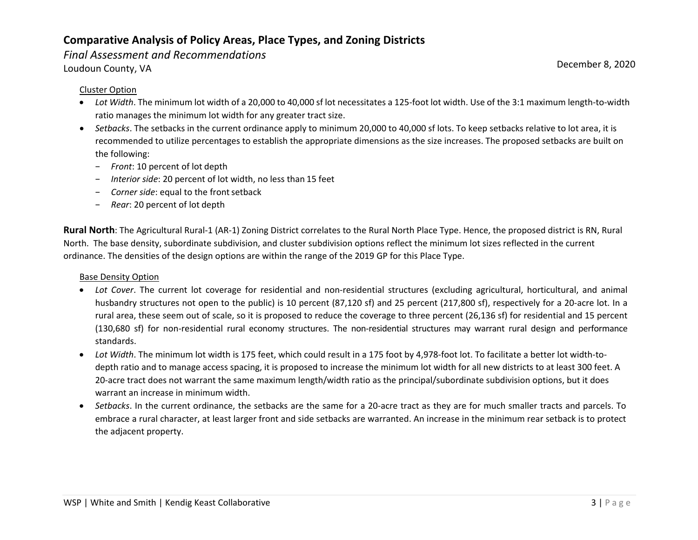#### *Final Assessment and Recommendations*

Loudoun County, VA December 8, 2020

#### Cluster Option

- *Lot Width*. The minimum lot width of a 20,000 to 40,000 sf lot necessitates a 125-foot lot width. Use of the 3:1 maximum length-to-width ratio manages the minimum lot width for any greater tract size.
- *Setbacks*. The setbacks in the current ordinance apply to minimum 20,000 to 40,000 sf lots. To keep setbacks relative to lot area, it is recommended to utilize percentages to establish the appropriate dimensions as the size increases. The proposed setbacks are built on the following:
	- − *Front*: 10 percent of lot depth
	- *Interior side*: 20 percent of lot width, no less than 15 feet
	- *Corner side*: equal to the front setback
	- − *Rear*: 20 percent of lot depth

**Rural North**: The Agricultural Rural-1 (AR-1) Zoning District correlates to the Rural North Place Type. Hence, the proposed district is RN, Rural North. The base density, subordinate subdivision, and cluster subdivision options reflect the minimum lot sizes reflected in the current ordinance. The densities of the design options are within the range of the 2019 GP for this Place Type.

#### Base Density Option

- *Lot Cover*. The current lot coverage for residential and non-residential structures (excluding agricultural, horticultural, and animal husbandry structures not open to the public) is 10 percent (87,120 sf) and 25 percent (217,800 sf), respectively for a 20-acre lot. In a rural area, these seem out of scale, so it is proposed to reduce the coverage to three percent (26,136 sf) for residential and 15 percent (130,680 sf) for non-residential rural economy structures. The non-residential structures may warrant rural design and performance standards.
- *Lot Width*. The minimum lot width is 175 feet, which could result in a 175 foot by 4,978-foot lot. To facilitate a better lot width-todepth ratio and to manage access spacing, it is proposed to increase the minimum lot width for all new districts to at least 300 feet. A 20-acre tract does not warrant the same maximum length/width ratio as the principal/subordinate subdivision options, but it does warrant an increase in minimum width.
- *Setbacks*. In the current ordinance, the setbacks are the same for a 20-acre tract as they are for much smaller tracts and parcels. To embrace a rural character, at least larger front and side setbacks are warranted. An increase in the minimum rear setback is to protect the adjacent property.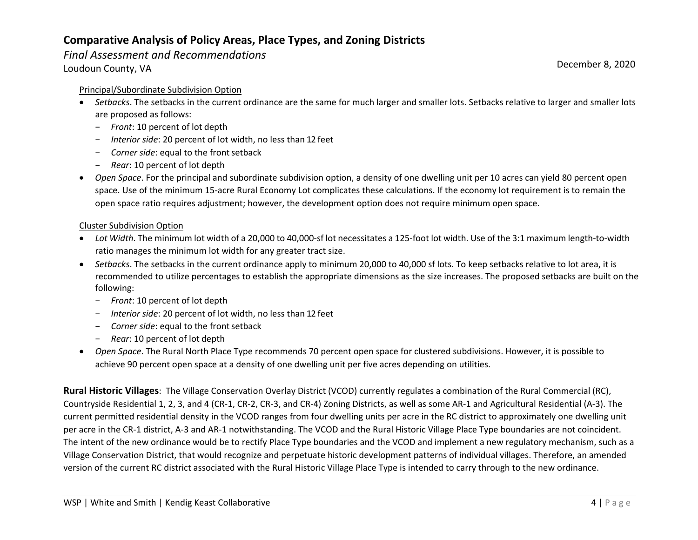#### *Final Assessment and Recommendations*

Loudoun County, VA December 8, 2020

#### Principal/Subordinate Subdivision Option

- *Setbacks*. The setbacks in the current ordinance are the same for much larger and smaller lots. Setbacks relative to larger and smaller lots are proposed as follows:
	- − *Front*: 10 percent of lot depth
	- − *Interior side*: 20 percent of lot width, no less than 12 feet
	- − *Corner side*: equal to the frontsetback
	- − *Rear*: 10 percent of lot depth
- *Open Space*. For the principal and subordinate subdivision option, a density of one dwelling unit per 10 acres can yield 80 percent open space. Use of the minimum 15-acre Rural Economy Lot complicates these calculations. If the economy lot requirement is to remain the open space ratio requires adjustment; however, the development option does not require minimum open space.

#### Cluster Subdivision Option

- *Lot Width*. The minimum lot width of a 20,000 to 40,000-sf lot necessitates a 125-foot lot width. Use of the 3:1 maximum length-to-width ratio manages the minimum lot width for any greater tract size.
- *Setbacks*. The setbacks in the current ordinance apply to minimum 20,000 to 40,000 sf lots. To keep setbacks relative to lot area, it is recommended to utilize percentages to establish the appropriate dimensions as the size increases. The proposed setbacks are built on the following:
	- − *Front*: 10 percent of lot depth
	- − *Interior side*: 20 percent of lot width, no less than 12 feet
	- − *Corner side*: equal to the frontsetback
	- − *Rear*: 10 percent of lot depth
- *Open Space*. The Rural North Place Type recommends 70 percent open space for clustered subdivisions. However, it is possible to achieve 90 percent open space at a density of one dwelling unit per five acres depending on utilities.

**Rural Historic Villages**: The Village Conservation Overlay District (VCOD) currently regulates a combination of the Rural Commercial (RC), Countryside Residential 1, 2, 3, and 4 (CR-1, CR-2, CR-3, and CR-4) Zoning Districts, as well as some AR-1 and Agricultural Residential (A-3). The current permitted residential density in the VCOD ranges from four dwelling units per acre in the RC district to approximately one dwelling unit per acre in the CR-1 district, A-3 and AR-1 notwithstanding. The VCOD and the Rural Historic Village Place Type boundaries are not coincident. The intent of the new ordinance would be to rectify Place Type boundaries and the VCOD and implement a new regulatory mechanism, such as a Village Conservation District, that would recognize and perpetuate historic development patterns of individual villages. Therefore, an amended version of the current RC district associated with the Rural Historic Village Place Type is intended to carry through to the new ordinance.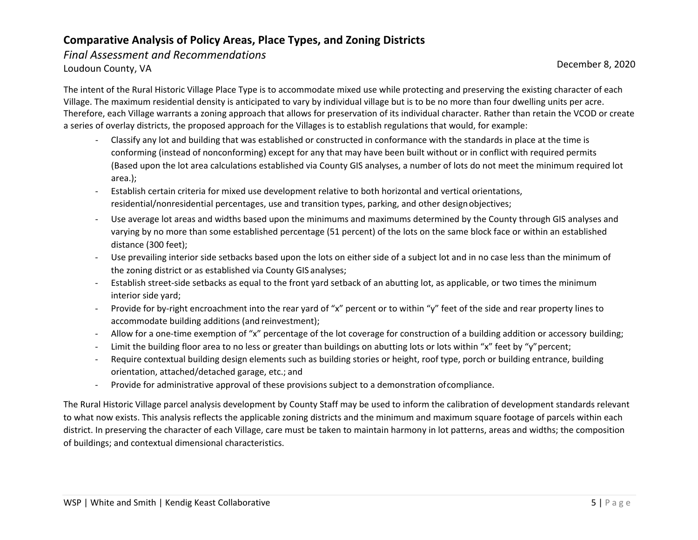*Final Assessment and Recommendations*  Loudoun County, VA December 8, 2020

The intent of the Rural Historic Village Place Type is to accommodate mixed use while protecting and preserving the existing character of each Village. The maximum residential density is anticipated to vary by individual village but is to be no more than four dwelling units per acre. Therefore, each Village warrants a zoning approach that allows for preservation of its individual character. Rather than retain the VCOD or create a series of overlay districts, the proposed approach for the Villages is to establish regulations that would, for example:

- Classify any lot and building that was established or constructed in conformance with the standards in place at the time is conforming (instead of nonconforming) except for any that may have been built without or in conflict with required permits (Based upon the lot area calculations established via County GIS analyses, a number of lots do not meet the minimum required lot area.);
- Establish certain criteria for mixed use development relative to both horizontal and vertical orientations, residential/nonresidential percentages, use and transition types, parking, and other designobjectives;
- Use average lot areas and widths based upon the minimums and maximums determined by the County through GIS analyses and varying by no more than some established percentage (51 percent) of the lots on the same block face or within an established distance (300 feet);
- Use prevailing interior side setbacks based upon the lots on either side of a subject lot and in no case less than the minimum of the zoning district or as established via County GIS analyses;
- Establish street-side setbacks as equal to the front yard setback of an abutting lot, as applicable, or two times the minimum interior side yard;
- Provide for by-right encroachment into the rear yard of "x" percent or to within "y" feet of the side and rear property lines to accommodate building additions (and reinvestment);
- Allow for a one-time exemption of "x" percentage of the lot coverage for construction of a building addition or accessory building;
- Limit the building floor area to no less or greater than buildings on abutting lots or lots within "x" feet by "y" percent;
- Require contextual building design elements such as building stories or height, roof type, porch or building entrance, building orientation, attached/detached garage, etc.; and
- Provide for administrative approval of these provisions subject to a demonstration ofcompliance.

The Rural Historic Village parcel analysis development by County Staff may be used to inform the calibration of development standards relevant to what now exists. This analysis reflects the applicable zoning districts and the minimum and maximum square footage of parcels within each district. In preserving the character of each Village, care must be taken to maintain harmony in lot patterns, areas and widths; the composition of buildings; and contextual dimensional characteristics.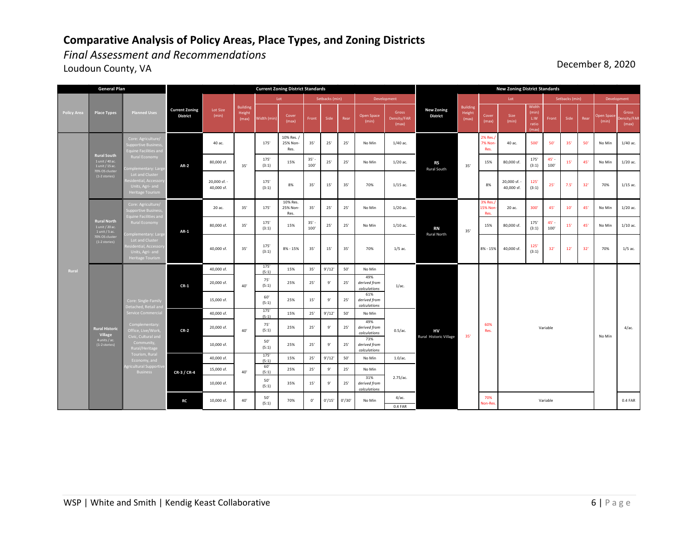*Final Assessment and Recommendations* 

idth (min) Cover Cover Front Side Rear Open Space<br>(max) Front Side Rear (min) Density/FAR Cover (max) Size (min) Width (min) L:W ratio (max) Front Side Rea (min) nsity/F (max) 40 ac. 175' 10% Res. / 25% Non-Res. 35' 25' 25' No Min 1/40 ac. 2% Res./ 7% Non-Res. 40 ac. 500' 50' 35' 50' No Min 1/40 ac. 80,000 sf. <br>35' <br>31' <br>31' <br>31'  $15\%$   $35' -$ <br> $100'$  $\begin{array}{|c|c|c|c|c|c|}\n 100' & 25' & 25' & \text{No Min} & 1/20 \text{ ac.} & & & & 15' & 15\% & 80,000 \text{ sf.} & & & & & 175' \\
\hline\n\end{array}$ (3:1)  $45' - 100'$ 100' 15' 45' No Min 1/20 ac. 20 ac. 35' 175' 10% Res. 25% Non-Res. 35' 25' 25' No Min 1/20 ac. 3% Res./ 15% No Res. 20 ac. 300' 45' 10' 45' No Min 1/20 ac. 80,000 sf.  $35'$   $175'$   $(3:1)$  $15\%$   $35' - 100'$  $\frac{35!}{100}$  25' 25' No Min 1/10 ac. 15% 80,000 sf.  $\frac{175}{(3:1)}$ (3:1) 45' -<br>100' 100' 15' 45' No Min 1/10 ac. 40,000 sf. 175' (5:1) (5:1) 15% 35' 9'/12' 50' No Min 20,000 sf.  $40'$  75' (5:1) (5:1) 25% 25' 9' 25' 49% *derived from calculations* 15,000 sf.  $60'$  (5:1)  $(5:1)$  25% 15' 9' 25' 61% *derived from calculations* 40,000 sf. 175' (5:1) (5:1) 15% 25' 9'/12' 50' No Min 20,000 sf.  $\begin{array}{|c|c|c|c|c|} \hline & & & & 75' \\ & & & & 40' & & (5:1) \\ \hline \end{array}$ (5:1) 25% 25' 9' 25' 49% *derived from calculations* 10,000 sf.  $50'$  50' (5:1) 25% 25' 9' 25' 73% *derived from calculations* 40,000 sf. 175' (5:1)  $(5:1)$  15% 25' 9'/12' 50' No Min 1.0/ac. 15,000 sf.  $40'$   $60'$   $(5:1)$  $(5:1)$  25% 25' 9' 25' No Min 10,000 sf.  $50'$  (5:1)  $(5:1)$  35% 15' 9' 25' 31% *derived from calculations* 4/ac. 0.4 FAR  $8\% - 15\%$  40,000 sf.  $\begin{array}{|c|c|c|c|c|c|c|c|} \hline 125' & 32' & 12' & 32' & 70\% \hline \end{array}$ (3:1) 35' 35' **AR-2** 20,000 sf. - 40,000 sf. 35' 8% 35' 15' 35' 70% **AR-1** 40,000 sf.  $35'$   $175'$   $(3:1)$ (3:1) 8% - 15% 35' 40' **Current Zoning District** Lot Size (min) Building Height (max) **Current Zoning District Standards Policy Area Place Types Planned Use General Plan** Develop **Rural Hist Village**  4 units / ac. (1-2 stories) **CR-1 CR-3 / CR-4** 15' 35' 70% 1/5 ac. 0.5/ac. **Rural Nort** 1 unit / 20 ac. 1 unit / 5 ac. 70% OS cluster (1-2 stories) **Rural South**<br>
1 unit / 40 ac.<br>
1 unit / 15 ac.<br>
70% OS cluster<br>
(1-2 stories) 10,000 sf. **RC** 40' Jeritial, Aci<br>Inite - Acci Supportive Business, Equine Facilities and Rural Economy iplementary: L<br>Lot and Chiefs Units, Agri- and Heritage Tourism .omplementar<br>... economy, and<br>Channels 70% **RN**  Rural North **CR-2** 40' |  $(5:1)$  |  $-$  |  $-$  |  $-$  |  $-$  |  $-$  |  $-$  |  $-$  |  $-$  |  $-$  |  $-$  |  $-$  |  $-$  |  $-$  |  $-$  |  $-$  |  $-$  |  $-$  |  $-$  |  $-$  |  $-$  |  $-$  |  $-$  |  $-$  |  $-$  |  $-$  |  $-$  |  $-$  |  $-$  |  $-$  |  $-$  |  $-$  |  $-$  |  $-$  |  $-$ 0' 0'/15' 0'/30' 40' 1/15 ac. 70% on-Res 2.75/ac. **HV** Rural Historic Village Variable Variable 60% National Contract Contract Contract Contract Contract Contract Contract Contract Contract Contract Contract Contract Contract Contract Contract Contract Contract Contract Contract Contract Contract Contract Contract Contra **RS** Rural South 1/5 ac. 1/15 ac. 35' 8% 20,000 sf. 40,000 sf.  $125'$ <br>(3:1)  $(3:1)$  25' 7.5' 32' 70% **New Zoning District Standards New Zoning District** Building Height (max)  $50'$ <br>(5:1)  $\begin{bmatrix} 5.1 \end{bmatrix}$   $\begin{bmatrix} 70\% & 0 \end{bmatrix}$   $\begin{bmatrix} 0/15' & 0/30' & 0 \end{bmatrix}$  No Min  $\begin{bmatrix} 1 & 0.4 \end{bmatrix}$   $\begin{bmatrix} 1 & 0.4 \end{bmatrix}$   $\begin{bmatrix} 0.4 \end{bmatrix}$   $\begin{bmatrix} 0.4 \end{bmatrix}$   $\begin{bmatrix} 0.4 \end{bmatrix}$   $\begin{bmatrix} 0.4 \end{bmatrix}$   $\begin{bmatrix} 0.4 \end{bmatrix}$   $\$ 175' (3:1) No Min

Loudoun County, VA December 8, 2020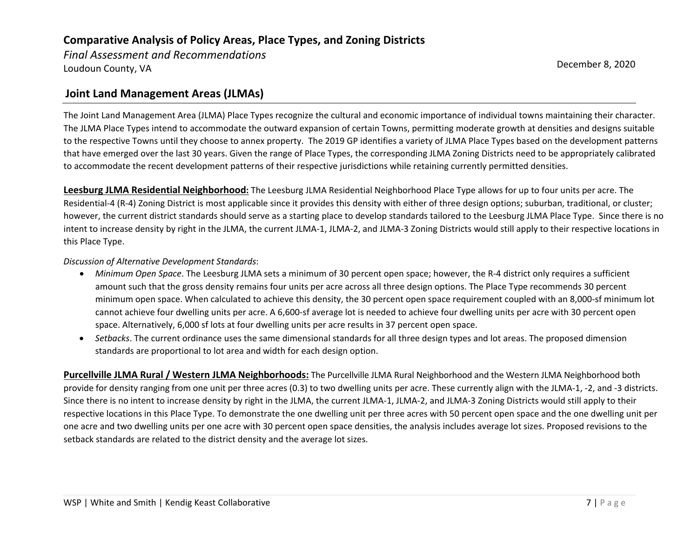*Final Assessment and Recommendations*  Loudoun County, VA December 8, 2020

### **Joint Land Management Areas (JLMAs)**

The Joint Land Management Area (JLMA) Place Types recognize the cultural and economic importance of individual towns maintaining their character. The JLMA Place Types intend to accommodate the outward expansion of certain Towns, permitting moderate growth at densities and designs suitable to the respective Towns until they choose to annex property. The 2019 GP identifies a variety of JLMA Place Types based on the development patterns that have emerged over the last 30 years. Given the range of Place Types, the corresponding JLMA Zoning Districts need to be appropriately calibrated to accommodate the recent development patterns of their respective jurisdictions while retaining currently permitted densities.

**Leesburg JLMA Residential Neighborhood:** The Leesburg JLMA Residential Neighborhood Place Type allows for up to four units per acre. The Residential-4 (R-4) Zoning District is most applicable since it provides this density with either of three design options; suburban, traditional, or cluster; however, the current district standards should serve as a starting place to develop standards tailored to the Leesburg JLMA Place Type. Since there is no intent to increase density by right in the JLMA, the current JLMA-1, JLMA-2, and JLMA-3 Zoning Districts would still apply to their respective locations in this Place Type.

#### *Discussion of Alternative Development Standards*:

- *Minimum Open Space*. The Leesburg JLMA sets a minimum of 30 percent open space; however, the R-4 district only requires a sufficient amount such that the gross density remains four units per acre across all three design options. The Place Type recommends 30 percent minimum open space. When calculated to achieve this density, the 30 percent open space requirement coupled with an 8,000-sf minimum lot cannot achieve four dwelling units per acre. A 6,600-sf average lot is needed to achieve four dwelling units per acre with 30 percent open space. Alternatively, 6,000 sf lots at four dwelling units per acre results in 37 percent open space.
- *Setbacks*. The current ordinance uses the same dimensional standards for all three design types and lot areas. The proposed dimension standards are proportional to lot area and width for each design option.

**Purcellville JLMA Rural / Western JLMA Neighborhoods:** The Purcellville JLMA Rural Neighborhood and the Western JLMA Neighborhood both provide for density ranging from one unit per three acres (0.3) to two dwelling units per acre. These currently align with the JLMA-1, -2, and -3 districts. Since there is no intent to increase density by right in the JLMA, the current JLMA-1, JLMA-2, and JLMA-3 Zoning Districts would still apply to their respective locations in this Place Type. To demonstrate the one dwelling unit per three acres with 50 percent open space and the one dwelling unit per one acre and two dwelling units per one acre with 30 percent open space densities, the analysis includes average lot sizes. Proposed revisions to the setback standards are related to the district density and the average lot sizes.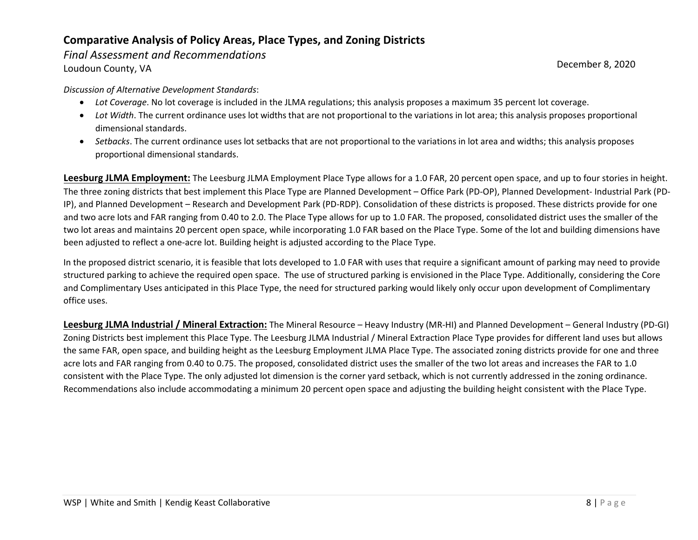*Final Assessment and Recommendations* 

Loudoun County, VA December 8, 2020

*Discussion of Alternative Development Standards*:

- *Lot Coverage*. No lot coverage is included in the JLMA regulations; this analysis proposes a maximum 35 percent lot coverage.
- *Lot Width*. The current ordinance uses lot widths that are not proportional to the variations in lot area; this analysis proposes proportional dimensional standards.
- *Setbacks*. The current ordinance uses lot setbacks that are not proportional to the variations in lot area and widths; this analysis proposes proportional dimensional standards.

**Leesburg JLMA Employment:** The Leesburg JLMA Employment Place Type allows for a 1.0 FAR, 20 percent open space, and up to four stories in height. The three zoning districts that best implement this Place Type are Planned Development – Office Park (PD-OP), Planned Development- Industrial Park (PD-IP), and Planned Development – Research and Development Park (PD-RDP). Consolidation of these districts is proposed. These districts provide for one and two acre lots and FAR ranging from 0.40 to 2.0. The Place Type allows for up to 1.0 FAR. The proposed, consolidated district uses the smaller of the two lot areas and maintains 20 percent open space, while incorporating 1.0 FAR based on the Place Type. Some of the lot and building dimensions have been adjusted to reflect a one-acre lot. Building height is adjusted according to the Place Type.

In the proposed district scenario, it is feasible that lots developed to 1.0 FAR with uses that require a significant amount of parking may need to provide structured parking to achieve the required open space. The use of structured parking is envisioned in the Place Type. Additionally, considering the Core and Complimentary Uses anticipated in this Place Type, the need for structured parking would likely only occur upon development of Complimentary office uses.

**Leesburg JLMA Industrial / Mineral Extraction:** The Mineral Resource – Heavy Industry (MR-HI) and Planned Development – General Industry (PD-GI) Zoning Districts best implement this Place Type. The Leesburg JLMA Industrial / Mineral Extraction Place Type provides for different land uses but allows the same FAR, open space, and building height as the Leesburg Employment JLMA Place Type. The associated zoning districts provide for one and three acre lots and FAR ranging from 0.40 to 0.75. The proposed, consolidated district uses the smaller of the two lot areas and increases the FAR to 1.0 consistent with the Place Type. The only adjusted lot dimension is the corner yard setback, which is not currently addressed in the zoning ordinance. Recommendations also include accommodating a minimum 20 percent open space and adjusting the building height consistent with the Place Type.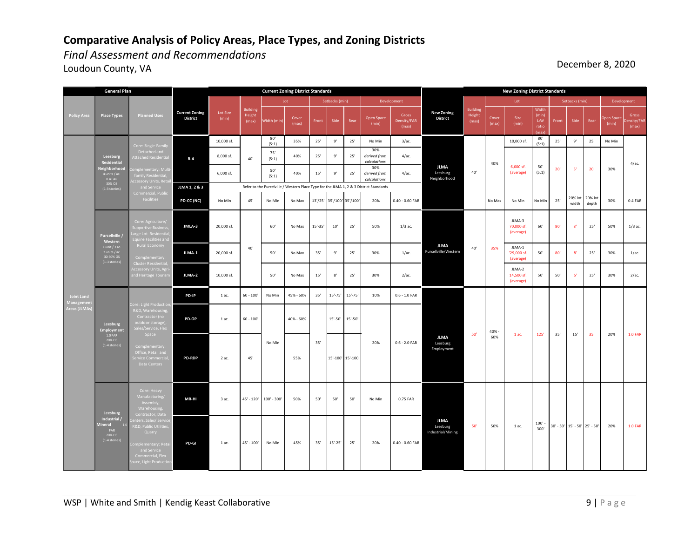*Final Assessment and Recommendations* 

Loudoun County, VA December 8, 2020

| <b>General Plan</b>            |                                                                   |                                                                                                                                                     | <b>Current Zoning District Standards</b> |                   |                                    |               |                |             |                           |             |                                                                                        | <b>New Zoning District Standards</b> |                                              |                                    |                |                                    |                                       |                |                                   |                  |                            |                               |
|--------------------------------|-------------------------------------------------------------------|-----------------------------------------------------------------------------------------------------------------------------------------------------|------------------------------------------|-------------------|------------------------------------|---------------|----------------|-------------|---------------------------|-------------|----------------------------------------------------------------------------------------|--------------------------------------|----------------------------------------------|------------------------------------|----------------|------------------------------------|---------------------------------------|----------------|-----------------------------------|------------------|----------------------------|-------------------------------|
|                                |                                                                   |                                                                                                                                                     |                                          |                   |                                    |               | Lot            |             | Setbacks (min)            |             |                                                                                        | Development                          |                                              |                                    |                | Lot                                |                                       | Setbacks (min) |                                   |                  | Development                |                               |
| <b>Policy Area</b>             | <b>Place Types</b>                                                | <b>Planned Uses</b>                                                                                                                                 | <b>Current Zoning</b><br><b>District</b> | Lot Size<br>(min) | <b>Building</b><br>Height<br>(max) | Width (min)   | Cover<br>(max) | Front       | Side                      | Rear        | Open Space<br>(min)                                                                    | Gross<br>Density/FAR<br>(max)        | <b>New Zoning</b><br><b>District</b>         | <b>Building</b><br>Height<br>(max) | Cover<br>(max) | Size<br>(min)                      | Width<br>(min)<br>L:W<br>ratio<br>max | Front          | Side                              | Rear             | <b>Open Space</b><br>(min) | Gross<br>)ensity/FAI<br>(max) |
|                                |                                                                   | Core: Single-Family                                                                                                                                 |                                          | 10,000 sf.        |                                    | 80'<br>(5:1)  | 35%            | 25'         | 9'                        | 25'         | No Min                                                                                 | $3/a$ c.                             |                                              |                                    |                | 10,000 sf.                         | 80'<br>(5:1)                          | 25'            | 9'                                | 25'              | No Min                     |                               |
|                                | Leesburg<br>Residential                                           | Detached and<br><b>Attached Residentia</b>                                                                                                          | $R - 4$                                  | 8,000 sf.         | 40'                                | 75'<br>(5:1)  | 40%            | 25'         | $9^\circ$                 | 25'         | 30%<br>derived from<br>calculations                                                    | 4/ac.                                |                                              |                                    | 40%            |                                    |                                       |                |                                   |                  |                            | 4/ас.                         |
|                                | Neighborhood<br>4 units / ac<br>$0.4$ FAR<br>30% OS               | omplementary: Mu<br>family Residential,<br>ccessory Units, Reta                                                                                     |                                          | 6,000 sf.         |                                    | 50'<br>(5:1)  | 40%            | 15'         | $9^{\circ}$               | 25'         | 30%<br>derived from<br>calculations                                                    | 4/ac.                                | <b>JLMA</b><br>Leesburg<br>Neighborhood      | 40'                                |                | 6,600 sf.<br>(average)             | 50'<br>(5:1)                          | 20'            | $-5'$                             | 20'              | 30%                        |                               |
|                                | (1-3 stories)                                                     | and Service<br>Commercial, Public                                                                                                                   | JLMA 1, 2 & 3                            |                   |                                    |               |                |             |                           |             | Refer to the Purcelville / Western Place Type for the JLMA 1, 2 & 3 District Standards |                                      |                                              |                                    |                |                                    |                                       |                |                                   |                  |                            |                               |
| <b>Joint Land</b><br>Managemen |                                                                   | Facilities                                                                                                                                          | PD-CC (NC)                               | No Min            | 45'                                | No Min        | No Max         |             | 13'/25' 35'/100' 35'/100' |             | 20%                                                                                    | $0.40 - 0.60$ FAR                    |                                              |                                    | No Max         | No Min                             | No Min                                | $25'$          | 20% lot<br>width                  | 20% lot<br>depth | 30%                        | 0.4 FAR                       |
|                                | Purcellville /<br>Western                                         | Core: Agriculture/<br><b>Supportive Business</b><br>Large Lot Residentia<br><b>Equine Facilities and</b>                                            | JMLA-3                                   | 20,000 sf.        |                                    | 60'           | No Max         | $15' - 35'$ | $10'$                     | 25'         | 50%                                                                                    | $1/3$ ac.                            | <b>JLMA</b><br>Purcellville/Western          |                                    |                | JLMA-3<br>70,000 sf.<br>(average)  | $60'$                                 | 80'            | 8'                                | 25'              | 50%                        | $1/3$ ac.                     |
|                                | $1$ unit / $3$ ac.<br>2 units / ac.<br>30-50% OS<br>(1-3 stories) | Rural Economy<br>Complementary:                                                                                                                     | JLMA-1                                   | 20,000 sf.        | 40'                                | 50'           | No Max         | 35'         | 9'                        | 25'         | 30%                                                                                    | $1/ac$ .                             |                                              | 40'                                | 35%            | JLMA-1<br>'29,000 sf.<br>(average) | 50'                                   | 80'            | 8'                                | 25'              | 30%                        | $1/ac$ .                      |
|                                |                                                                   | Cluster Residential,<br>Accessory Units, Agr<br>and Heritage Tourisn                                                                                | JLMA-2                                   | 10,000 sf.        |                                    | 50'           | No Max         | 15'         | $\rm 8'$                  | 25'         | 30%                                                                                    | 2/ac.                                |                                              |                                    |                | JLMA-2<br>14,500 sf.<br>(average)  | 50'                                   | $50'$          | $-5'$                             | 25'              | 30%                        | 2/ac.                         |
|                                |                                                                   |                                                                                                                                                     | PD-IP                                    | 1 ac.             | $60 - 100$                         | No Min        | 45% - 60%      | 35'         | $15' - 75'$               | $15' - 75'$ | 10%                                                                                    | $0.6 - 1.0$ FAR                      |                                              |                                    |                |                                    |                                       |                |                                   |                  |                            |                               |
| Areas (JLMAs                   | Leesburg<br>Employment                                            | <b>Core: Light Production</b><br>R&D, Warehousing<br>Contractor (no<br>outdoor storage),<br>Sales/Service, Flex<br>Space                            | PD-OP                                    | 1 ac.             | $60 - 100'$                        |               | 40% - 60%      |             | 15'-50'                   | $15' - 50'$ |                                                                                        |                                      |                                              | 50'                                | 40% -          |                                    |                                       |                |                                   |                  |                            |                               |
|                                | $1.0\,\ensuremath{\mathsf{FAR}}$<br>20% OS<br>(1-4 stories)       | Complementary:<br>Office, Retail and<br>Service Commercial<br>Data Centers                                                                          | <b>PD-RDP</b>                            | 2 ac.             | 45'                                | No Min        | 55%            | 35'         | 15'-100' 15'-100'         |             | 20%                                                                                    | $0.6 - 2.0$ FAR                      | <b>JLMA</b><br>Leesburg<br>Employment        |                                    | 60%            | 1 ac.                              | 125'                                  | 35'            | 15'                               | 35'              | 20%                        | <b>1.0 FAR</b>                |
|                                | Leesburg                                                          | Core: Heavy<br>Manufacturing/<br>Assembly,<br>Warehousing.<br>Contractor, Data                                                                      | MR-HI                                    | 3 ac.             | 45' - 120'                         | $100' - 300'$ | 50%            | 50'         | 50'                       | 50'         | No Min                                                                                 | 0.75 FAR                             | <b>JLMA</b><br>Leesburg<br>Industrial/Mining |                                    |                |                                    |                                       |                |                                   |                  |                            |                               |
|                                | Industrial /<br>Mineral<br>10<br>FAR<br>20% OS<br>(1-4 stories    | enters, Sales/ Servic<br>R&D, Public Utilities<br>Quarry<br><b>Complementary: Retai</b><br>and Service<br>Commercial, Flex<br>pace, Light Productio | PD-GI                                    | 1 ac.             | $45' - 100'$                       | No Min        | 45%            | 35'         | $15'-25'$                 | 25'         | 20%                                                                                    | $0.40 - 0.60$ FAR                    |                                              | 50'                                | 50%            | 1 ac.                              | 100'<br>300'                          |                | 30' - 50'   15' - 50'   25' - 50' |                  | 20%                        | <b>1.0 FAR</b>                |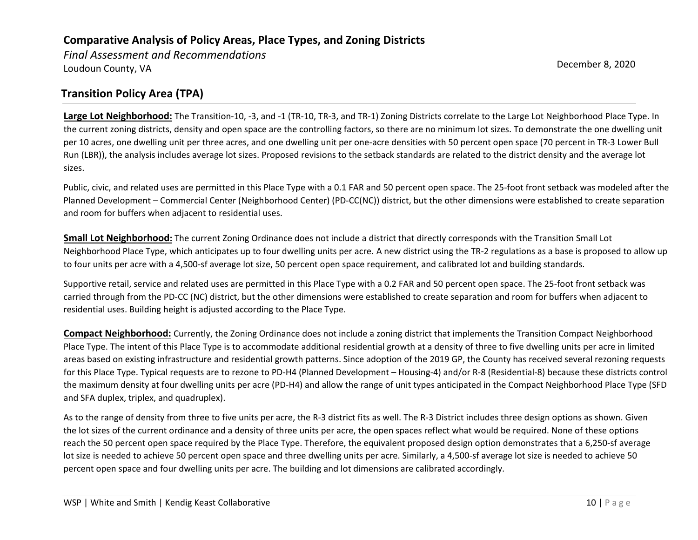*Final Assessment and Recommendations*  Loudoun County, VA December 8, 2020

## **Transition Policy Area (TPA)**

**Large Lot Neighborhood:** The Transition-10, -3, and -1 (TR-10, TR-3, and TR-1) Zoning Districts correlate to the Large Lot Neighborhood Place Type. In the current zoning districts, density and open space are the controlling factors, so there are no minimum lot sizes. To demonstrate the one dwelling unit per 10 acres, one dwelling unit per three acres, and one dwelling unit per one-acre densities with 50 percent open space (70 percent in TR-3 Lower Bull Run (LBR)), the analysis includes average lot sizes. Proposed revisions to the setback standards are related to the district density and the average lot sizes.

Public, civic, and related uses are permitted in this Place Type with a 0.1 FAR and 50 percent open space. The 25-foot front setback was modeled after the Planned Development – Commercial Center (Neighborhood Center) (PD-CC(NC)) district, but the other dimensions were established to create separation and room for buffers when adjacent to residential uses.

**Small Lot Neighborhood:** The current Zoning Ordinance does not include a district that directly corresponds with the Transition Small Lot Neighborhood Place Type, which anticipates up to four dwelling units per acre. A new district using the TR-2 regulations as a base is proposed to allow up to four units per acre with a 4,500-sf average lot size, 50 percent open space requirement, and calibrated lot and building standards.

Supportive retail, service and related uses are permitted in this Place Type with a 0.2 FAR and 50 percent open space. The 25-foot front setback was carried through from the PD-CC (NC) district, but the other dimensions were established to create separation and room for buffers when adjacent to residential uses. Building height is adjusted according to the Place Type.

**Compact Neighborhood:** Currently, the Zoning Ordinance does not include a zoning district that implements the Transition Compact Neighborhood Place Type. The intent of this Place Type is to accommodate additional residential growth at a density of three to five dwelling units per acre in limited areas based on existing infrastructure and residential growth patterns. Since adoption of the 2019 GP, the County has received several rezoning requests for this Place Type. Typical requests are to rezone to PD-H4 (Planned Development – Housing-4) and/or R-8 (Residential-8) because these districts control the maximum density at four dwelling units per acre (PD-H4) and allow the range of unit types anticipated in the Compact Neighborhood Place Type (SFD and SFA duplex, triplex, and quadruplex).

As to the range of density from three to five units per acre, the R-3 district fits as well. The R-3 District includes three design options as shown. Given the lot sizes of the current ordinance and a density of three units per acre, the open spaces reflect what would be required. None of these options reach the 50 percent open space required by the Place Type. Therefore, the equivalent proposed design option demonstrates that a 6,250-sf average lot size is needed to achieve 50 percent open space and three dwelling units per acre. Similarly, a 4,500-sf average lot size is needed to achieve 50 percent open space and four dwelling units per acre. The building and lot dimensions are calibrated accordingly.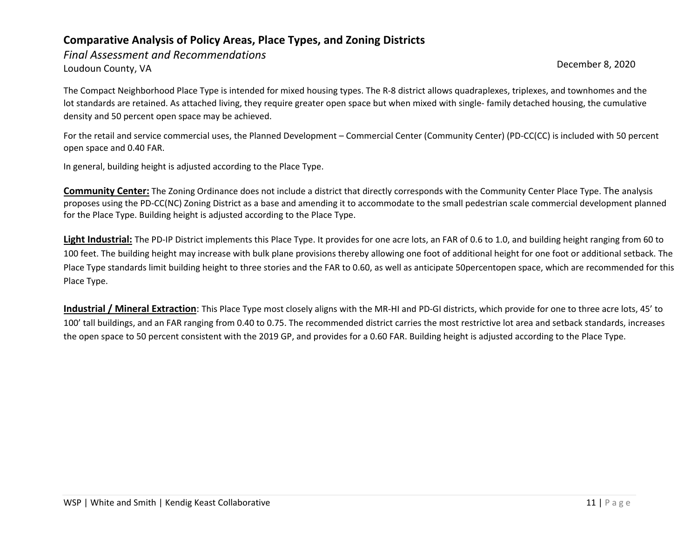*Final Assessment and Recommendations*  Loudoun County, VA December 8, 2020

The Compact Neighborhood Place Type is intended for mixed housing types. The R-8 district allows quadraplexes, triplexes, and townhomes and the lot standards are retained. As attached living, they require greater open space but when mixed with single- family detached housing, the cumulative density and 50 percent open space may be achieved.

For the retail and service commercial uses, the Planned Development – Commercial Center (Community Center) (PD-CC(CC) is included with 50 percent open space and 0.40 FAR.

In general, building height is adjusted according to the Place Type.

**Community Center:** The Zoning Ordinance does not include a district that directly corresponds with the Community Center Place Type. The analysis proposes using the PD-CC(NC) Zoning District as a base and amending it to accommodate to the small pedestrian scale commercial development planned for the Place Type. Building height is adjusted according to the Place Type.

**Light Industrial:** The PD-IP District implements this Place Type. It provides for one acre lots, an FAR of 0.6 to 1.0, and building height ranging from 60 to 100 feet. The building height may increase with bulk plane provisions thereby allowing one foot of additional height for one foot or additional setback. The Place Type standards limit building height to three stories and the FAR to 0.60, as well as anticipate 50percentopen space, which are recommended for this Place Type.

**Industrial / Mineral Extraction**: This Place Type most closely aligns with the MR-HI and PD-GI districts, which provide for one to three acre lots, 45' to 100' tall buildings, and an FAR ranging from 0.40 to 0.75. The recommended district carries the most restrictive lot area and setback standards, increases the open space to 50 percent consistent with the 2019 GP, and provides for a 0.60 FAR. Building height is adjusted according to the Place Type.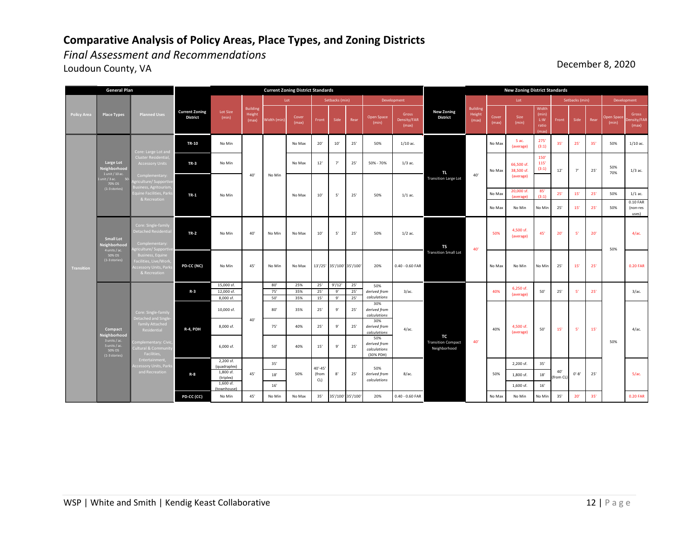*Final Assessment and Recommendations* 

dth (min) Cover<br>(max) Cover Front Side Rear Open Space<br>(max) Front Side Rear (min) Gross Density/FAR Cove (max) (min) Width (min) L:W ratio (max) Front Side Rear Open Sp (min) (max) **TR-10** No Min No Max 20' 10' 25' 50% 1/10 ac. No Max 5 ac. No Max 5 ac. (average)  $275'$ <br>(3:1) (3:1)  $35'$   $25'$   $35'$   $50\%$  1/10 ac. **TR-3** No Min No Max 12' 7' 25' 50% - 70% 1/3 ac. 150' 115' (3:1) No Max 20,000 sf. (average) 85'  $(3:1)$  25' 15' 25' 50% 1/1 ac. No Max No Min No Min 25' 15' 25' 50% 0.10 FAR (non-res uses) **PD-CC (NC)** No Min 45' No Min No Max 13'/25' 35'/100' 35'/100' 20% 0.40 - 0.60 FAR No Max No Min No Min 25' 15' 25' 0.20 FAR 15,000 sf.<br>
12,000 sf.<br>
12,000 sf.<br>
13,5% 25' 9' 25' 12,000 sf. 75' 35% 25' 9' 25' 8,000 sf. 50' 35% 15' 9' 25' 10,000 sf. 80' 35% 25' 9' 25' 30% *derived from calculations* 8,000 sf. 75' 40% 25' 9' 25' 30% *derived from calculations* 6,000 sf. 50' 40% 15' 9' 25' 50% *derived from calculations* (30% PDH) 2,200 sf.<br>Iquadranlex (quadraplex) 35' 2,200 sf. 35' 1,800 sf. **R-8** 45' (triplex) 18' 1,800 sf. 18'  $1,600$  sf. (townhouse) 16' 1,600 sf. 16' **PD-CC (CC)** No Min | 45' | No Min | No Max | 35' | 35'/100' | 35'/100' 20% | 0.40 - 0.60 FAR No Max | No Max No Min | No Min | 35' | 20' | 35' | 0.20 FAR **Transitio** 40' 40' 25' 50' 5' **TR-2** No Min | 40' | No Min | No Max | 10' | 5' | 25' | 50% | 1/2 ac. 20' | 20' | 45' | 20' | 5' | 20' | 20' | 20' | 20' | 4/ac. 50% *derived from calculations* 50% *derived from calculations* 25' 50% 4,500 sf. (average) 45' 20' 40'  $40\%$   $\left| \begin{array}{ccc} \end{array} \right|$   $50'$   $15'$   $5'$   $15'$ 40% 40' No Min 40'  $1/1$  ac. Development Lot Setbacks (min) 8/ac. 50% 4/ac. Building **TS**  Transition Small Lot 5'  $40'$   $0' - 8'$   $25'$   $5/ac$ . om Cl 25' 3/ac. Development 1/3 ac. **Large Lot<br>
<b>Neighborhood**<br>
1 unit / 10 ac.<br>
1 unit / 3 ac.<br>
70% OS<br>
(1-3 stories) **TL**  Transition Large Lot **Current Zoning District Standards TR-1** 40' No Max 10' 5' 7' 50% Setbacks (min) 4,500 sf. (average) 40'-45' (from 50% 8' 25' CL) **TC**  Transition Compact Neighborhood 50% 50' 15' 5' **Current Zoning District** Lot Size Building (max) Lot **R-3 R-4, PDH** No Min No Min 25' 50% No Min Agriculture/ Supportive Business, Agritourism, Equine Facilities, Parks & Recreation Core: Single-family Detached Residential Agriculture/ Supportive Core: Single-family Detached and Singlefamily Attached Residential Complementary: Civic, Cultural & Community ara commit<br>Facilities, **General Plan Policy Area Place Types Small Lot Neighborhood**  4 units / ac. 50% OS (1-3 stories) **Compact Neighborhood**<br>
3 units / ac.<br>
5 units / ac.<br>
50% OS<br>
(1-3 stories) 12' 6,250 sf. (average) **New Zoning District Standards New Zoning District** No Max 66,500 sf. 38,500 sf. (average) 3/ac. 4/ac. 50% 70%

Loudoun County, VA December 8, 2020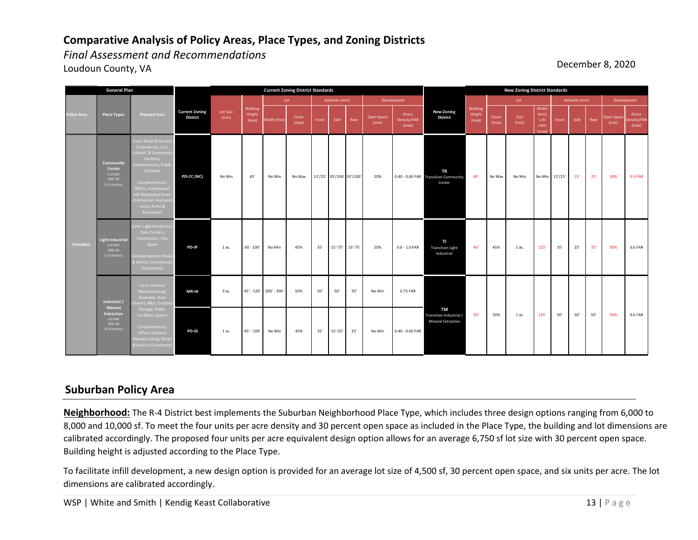*Final Assessment and Recommendations* 

Loudoun County, VA December 8, 2020

|                   | <b>General Plan</b>                                                                  |                                                                                                                                                                                                                                                          |                                          | <b>Current Zoning District Standards</b> |                                    |                        |                |       |                |                           |                     |                               |                                                             |                                    |                |               |                                         |                |      |      | <b>New Zoning District Standards</b> |                              |  |  |  |  |  |  |
|-------------------|--------------------------------------------------------------------------------------|----------------------------------------------------------------------------------------------------------------------------------------------------------------------------------------------------------------------------------------------------------|------------------------------------------|------------------------------------------|------------------------------------|------------------------|----------------|-------|----------------|---------------------------|---------------------|-------------------------------|-------------------------------------------------------------|------------------------------------|----------------|---------------|-----------------------------------------|----------------|------|------|--------------------------------------|------------------------------|--|--|--|--|--|--|
|                   |                                                                                      |                                                                                                                                                                                                                                                          |                                          |                                          |                                    |                        | Lot            |       | Setbacks (min) |                           |                     | Development                   |                                                             |                                    | Lot            |               |                                         | Setbacks (min) |      |      | Development                          |                              |  |  |  |  |  |  |
| Policy Area       | Place Types                                                                          | <b>Planned Uses</b>                                                                                                                                                                                                                                      | <b>Current Zoning</b><br><b>District</b> | Lot Size<br>(min)                        | <b>Building</b><br>Height<br>(max) | Width (min)            | Cover<br>(max) | Front | Side           | Rear                      | Open Space<br>(min) | Gross<br>Density/FAR<br>(max) | <b>New Zoning</b><br><b>District</b>                        | <b>Building</b><br>Height<br>(max) | Cover<br>(max) | Size<br>(min) | Width<br>(min)<br>L:W<br>ratio<br>(max) | Front          | Side | Rear | Open Space<br>(min)                  | Gross<br>ensity/FAR<br>(max) |  |  |  |  |  |  |
| <b>Transition</b> | Community<br>Center<br>$0.3$ FAR<br>50% OS<br>(1-3 stories)                          | Core: Retail & Service<br>Commercial, Civic,<br>Cultural, & Community<br>Facilities,<br>Entertainment, Public<br>Facilities<br>Complementary:<br>Office, Institutional<br>MF Residential (over<br>commercial; live/work<br>units), Parks &<br>Recreation | PD-CC (NC)                               | No Min                                   | 45'                                | No Min                 | No Max         |       |                | 13'/25' 35'/100' 35'/100' | 20%                 |                               | <b>TR</b><br>0.40 - 0.60 FAR Transition Community<br>Center | 40'                                | No Max         | No Min        | No Min 13'/25'                          |                | 15'  | 25'  | 50%                                  | 0.3 FAR                      |  |  |  |  |  |  |
|                   | <b>Light Industrial</b><br>$0.6$ FAR<br>50% OS<br>(1-3 stories)                      | Core: Light Production,<br>Data Centers,<br>Contractors, Flex<br>Space<br>Complementary: Retail<br>& Service Commercial,<br>Institutional                                                                                                                | PD-IP                                    | 1 ac.                                    | $60 - 100'$                        | No Min                 | 45%            | 35'   |                | 15'-75' 15'-75'           | 20%                 | $0.6 - 1.0$ FAR               | TI<br><b>Transition Light</b><br>Industrial                 | 40'                                | 45%            | 1 ac.         | 125'                                    | 35'            | 25'  | 35'  | 50%                                  | 0.6 FAR                      |  |  |  |  |  |  |
|                   | Industrial /<br>Mineral<br><b>Extraction</b><br>0.6 FAR<br>50% OS<br>$(1-4$ stories) | Core: General<br>Manufacturing/<br>Assembly, Data<br>enters, R&D, Outdoor                                                                                                                                                                                | MR-HI                                    | 3 ac.                                    |                                    | 45' - 120' 200' - 300' | 50%            | 50'   | 50'            | 50'                       | No Min              | 0.75 FAR                      | <b>TM</b><br>Transition Industrial /<br>Mineral Extraction  |                                    |                |               |                                         |                |      |      |                                      |                              |  |  |  |  |  |  |
|                   |                                                                                      | Storage, Public<br>Facilities, Quarry<br>Complementary:<br>Office, Outdoor<br>Manufacturing, Retail<br>& Service Commercial                                                                                                                              | PD-GI                                    | 1 ac.                                    | 45' - 100'                         | No Min                 | 45%            | 35'   | $15' - 25'$    | 25'                       | No Min              | $0.40 - 0.60$ FAR             |                                                             | 50'                                | 50%            | 1 ac.         | $125'$                                  | $50^{\circ}$   | 50'  | 50'  | 50%                                  | 0.6 FAR                      |  |  |  |  |  |  |

#### **Suburban Policy Area**

**Neighborhood:** The R-4 District best implements the Suburban Neighborhood Place Type, which includes three design options ranging from 6,000 to 8,000 and 10,000 sf. To meet the four units per acre density and 30 percent open space as included in the Place Type, the building and lot dimensions are calibrated accordingly. The proposed four units per acre equivalent design option allows for an average 6,750 sf lot size with 30 percent open space. Building height is adjusted according to the Place Type.

To facilitate infill development, a new design option is provided for an average lot size of 4,500 sf, 30 percent open space, and six units per acre. The lot dimensions are calibrated accordingly.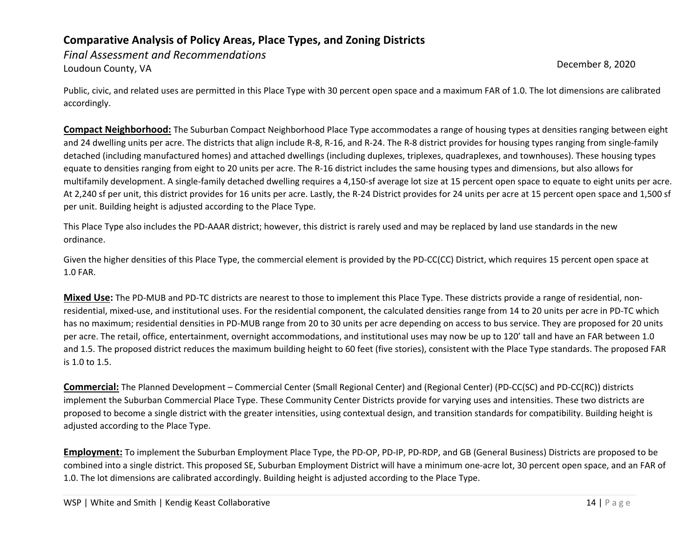*Final Assessment and Recommendations*  Loudoun County, VA December 8, 2020

Public, civic, and related uses are permitted in this Place Type with 30 percent open space and a maximum FAR of 1.0. The lot dimensions are calibrated accordingly.

**Compact Neighborhood:** The Suburban Compact Neighborhood Place Type accommodates a range of housing types at densities ranging between eight and 24 dwelling units per acre. The districts that align include R-8, R-16, and R-24. The R-8 district provides for housing types ranging from single-family detached (including manufactured homes) and attached dwellings (including duplexes, triplexes, quadraplexes, and townhouses). These housing types equate to densities ranging from eight to 20 units per acre. The R-16 district includes the same housing types and dimensions, but also allows for multifamily development. A single-family detached dwelling requires a 4,150-sf average lot size at 15 percent open space to equate to eight units per acre. At 2,240 sf per unit, this district provides for 16 units per acre. Lastly, the R-24 District provides for 24 units per acre at 15 percent open space and 1,500 sf per unit. Building height is adjusted according to the Place Type.

This Place Type also includes the PD-AAAR district; however, this district is rarely used and may be replaced by land use standards in the new ordinance.

Given the higher densities of this Place Type, the commercial element is provided by the PD-CC(CC) District, which requires 15 percent open space at 1.0 FAR.

**Mixed Use:** The PD-MUB and PD-TC districts are nearest to those to implement this Place Type. These districts provide a range of residential, nonresidential, mixed-use, and institutional uses. For the residential component, the calculated densities range from 14 to 20 units per acre in PD-TC which has no maximum; residential densities in PD-MUB range from 20 to 30 units per acre depending on access to bus service. They are proposed for 20 units per acre. The retail, office, entertainment, overnight accommodations, and institutional uses may now be up to 120' tall and have an FAR between 1.0 and 1.5. The proposed district reduces the maximum building height to 60 feet (five stories), consistent with the Place Type standards. The proposed FAR is 1.0 to 1.5.

**Commercial:** The Planned Development – Commercial Center (Small Regional Center) and (Regional Center) (PD-CC(SC) and PD-CC(RC)) districts implement the Suburban Commercial Place Type. These Community Center Districts provide for varying uses and intensities. These two districts are proposed to become a single district with the greater intensities, using contextual design, and transition standards for compatibility. Building height is adjusted according to the Place Type.

**Employment:** To implement the Suburban Employment Place Type, the PD-OP, PD-IP, PD-RDP, and GB (General Business) Districts are proposed to be combined into a single district. This proposed SE, Suburban Employment District will have a minimum one-acre lot, 30 percent open space, and an FAR of 1.0. The lot dimensions are calibrated accordingly. Building height is adjusted according to the Place Type.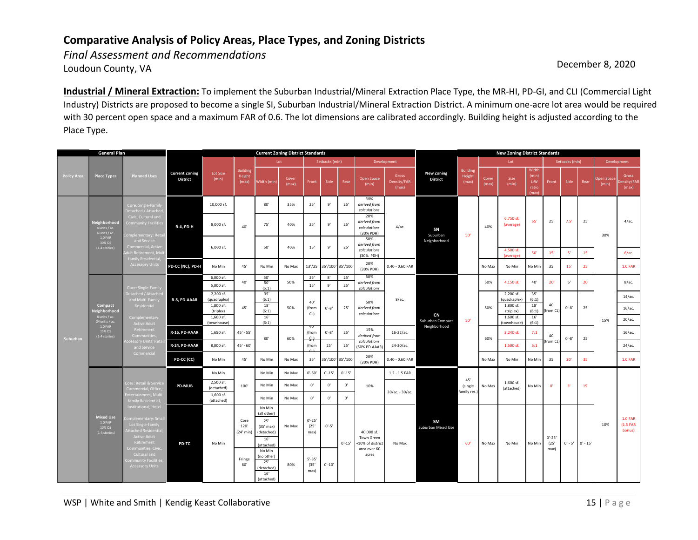*Final Assessment and Recommendations*  Loudoun County, VA **December 8, 2020** 

**Industrial / Mineral Extraction:** To implement the Suburban Industrial/Mineral Extraction Place Type, the MR-HI, PD-GI, and CLI (Commercial Light Industry) Districts are proposed to become a single SI, Suburban Industrial/Mineral Extraction District. A minimum one-acre lot area would be required with 30 percent open space and a maximum FAR of 0.6. The lot dimensions are calibrated accordingly. Building height is adjusted according to the Place Type.

| <b>General Plan</b> |                                                                                                  |                                                                                                                                                                                                                                 | <b>Current Zoning District Standards</b> |                                                                  |                                            |                                                                                                                                                    |                                         |                                                        |                                  |                   |                                                                      |                               |                                      | <b>New Zoning District Standards</b> |                         |                                                                  |                                         |                          |                |            |                     |                                        |  |
|---------------------|--------------------------------------------------------------------------------------------------|---------------------------------------------------------------------------------------------------------------------------------------------------------------------------------------------------------------------------------|------------------------------------------|------------------------------------------------------------------|--------------------------------------------|----------------------------------------------------------------------------------------------------------------------------------------------------|-----------------------------------------|--------------------------------------------------------|----------------------------------|-------------------|----------------------------------------------------------------------|-------------------------------|--------------------------------------|--------------------------------------|-------------------------|------------------------------------------------------------------|-----------------------------------------|--------------------------|----------------|------------|---------------------|----------------------------------------|--|
|                     |                                                                                                  |                                                                                                                                                                                                                                 |                                          |                                                                  |                                            |                                                                                                                                                    | Lot                                     |                                                        | Setbacks (min)                   |                   |                                                                      | Development                   |                                      |                                      |                         | Lot                                                              |                                         |                          | Setbacks (min) |            |                     | Development                            |  |
| <b>Policy Area</b>  | <b>Place Types</b>                                                                               | <b>Planned Uses</b>                                                                                                                                                                                                             | <b>Current Zoning</b><br><b>District</b> | Lot Size<br>(min)                                                | <b>Building</b><br>Height<br>(max)         | Width (min)                                                                                                                                        | Cover<br>(max)                          | Front                                                  | Side                             | Rear              | Open Space<br>(min)                                                  | Gross<br>Density/FAR<br>(max) | <b>New Zoning</b><br><b>District</b> | <b>Building</b><br>Height<br>(max)   | Cover<br>(max)          | Size<br>(min)                                                    | Width<br>(min)<br>L:W<br>ratio<br>(max) | Front                    | Side           | Rear       | Open Space<br>(min) | Gross<br>ensity/FAF<br>(max)           |  |
|                     |                                                                                                  | Core: Single-Family<br>Detached / Attache                                                                                                                                                                                       |                                          | 10,000 sf.                                                       |                                            | 80'                                                                                                                                                | 35%                                     | 25'                                                    | 9'                               | 25'               | 30%<br>derived from<br>calculations                                  |                               |                                      |                                      |                         |                                                                  |                                         |                          |                |            |                     |                                        |  |
|                     | Neighborhood<br>4 units / ac.<br>6 units / ac<br>1.0 FAR<br>30% OS<br>(1-4 stories)              | Civic, Cultural and<br><b>Community Facilities</b><br>Complementary: Retai                                                                                                                                                      | <b>R-4, PD-H</b>                         | 8,000 sf.                                                        | 40'                                        | 75'                                                                                                                                                | 40%                                     | 25'                                                    | 9'                               | 25'               | 20%<br>derived from<br>calculations<br>(30% PDH)                     | $4/ac$ .                      | SN<br>Suburban                       | 50'                                  | 40%                     | 6,750 sf.<br>(average)                                           | 65'                                     | 25'                      | 7.5'           | 25'        | 30%                 | 4/ac.                                  |  |
|                     |                                                                                                  | and Service<br>Commercial, Active<br>dult Retirement, Mul                                                                                                                                                                       |                                          | 6,000 sf.                                                        |                                            | 50                                                                                                                                                 | 40%                                     | $15'$                                                  | $9'$                             | 25'               | 50%<br>derived from<br>calculations<br>(30% PDH)                     |                               | Neighborhood                         |                                      |                         | 4.500 sf.<br>(average)                                           | 50'                                     | $15'$                    | $-5'$          | 15'        |                     | 6/ac.                                  |  |
|                     |                                                                                                  | family Residential,<br><b>Accessory Units</b>                                                                                                                                                                                   | PD-CC (NC), PD-H                         | No Min                                                           | 45'                                        | No Min                                                                                                                                             | No Max                                  | 13'/25'                                                | 35'/100' 35'/100'                |                   | 20%<br>(30% PDH)                                                     | $0.40 - 0.60$ FAR             |                                      |                                      | No Max                  | No Min                                                           | No Min                                  | 35'                      | 15'            | 25'        |                     | <b>1.0 FAR</b>                         |  |
|                     |                                                                                                  | Core: Single-Family<br>Detached / Attached<br>and Multi-Family<br>Residential<br>Complementary:<br><b>Active Adult</b><br>Retirement<br>Communities.<br>ccessory Units, Reta<br>and Service<br>Commercial                       |                                          | 6,000 sf.<br>5,000 sf.                                           | 40'                                        | 50'<br>50'<br>(5:1)                                                                                                                                | 50%                                     | 25'<br>$15'$                                           | 8'<br>$9^{\circ}$                | 25'<br>$25'$      | 50%<br>derived from<br>calculations                                  |                               |                                      |                                      | 50%                     | 4,150 sf.                                                        | 40'                                     | $20^{\circ}$             | 5'             | 20'        |                     | $8/a$ c.                               |  |
|                     | Compact<br>Veighborhood<br>8 units / ac.<br>24 units / ac.<br>1.0 FAR<br>15% OS<br>(1-4 stories) |                                                                                                                                                                                                                                 | R-8, PD-AAAR                             | 2,200 sf.<br>(quadraplex)<br>1,800 sf.<br>(triplex)<br>1,600 sf. | 45'                                        | 35'<br>(6:1)<br>$18'$<br>(6:1)<br>$16'$<br>(6:1)                                                                                                   | 50%                                     | 40'<br>(from<br>CL)                                    | $0'-8'$                          | 25'               | 50%<br>derived from<br>calculations                                  | $8/ac$ .                      | CN<br>Suburban Compact               | 50'                                  | 50%                     | 2,200 sf.<br>(quadraplex)<br>1,800 sf.<br>(triplex)<br>1.600 sf. | 35'<br>(6:1)<br>$18'$<br>(6:1)<br>16'   | 40'<br>rom CL            | $0'-8'$        | 25'        | 15%                 | $14/a$ c.<br>16/ac.<br>20/ac.          |  |
|                     |                                                                                                  |                                                                                                                                                                                                                                 | R-16, PD-AAAR                            | (townhouse)<br>1,650 sf.                                         | $45' - 55'$                                | 80'                                                                                                                                                | 60%                                     | (from<br>-প্ৰ⊬                                         | $0'-8'$                          | 25'               | 15%<br>derived from                                                  | $16 - 22/ac$ .                | Neighborhood                         |                                      | 60%                     | (townhouse)<br>2,240 sf.                                         | (6:1)<br>7:1                            | 40'                      | $0'-8'$        | 25'        |                     | 16/ac.                                 |  |
| Suburban            |                                                                                                  |                                                                                                                                                                                                                                 | R-24, PD-AAAR                            | 8,000 sf.                                                        | $45' - 60'$                                |                                                                                                                                                    |                                         | (from                                                  | 25'                              | 25'               | calculations<br>(50% PD-AAAR)                                        | 24-30/ac.                     |                                      |                                      |                         | 1,500 sf.                                                        | 6:1                                     | from CL                  |                |            |                     | $24/ac$ .                              |  |
|                     |                                                                                                  |                                                                                                                                                                                                                                 | PD-CC (CC)                               | No Min                                                           | 45'                                        | No Min                                                                                                                                             | No Max                                  | 35'                                                    |                                  | 35'/100' 35'/100' | 20%<br>(30% PDH)                                                     | $0.40 - 0.60$ FAR             |                                      | No Max                               | No Min                  | No Min                                                           | 35'                                     | 20'                      | 35'            |            | <b>1.0 FAR</b>      |                                        |  |
|                     |                                                                                                  |                                                                                                                                                                                                                                 |                                          | No Min                                                           |                                            | No Min                                                                                                                                             | No Max                                  | $0' - 50'$                                             | $0' - 15'$                       | $0' - 15'$        |                                                                      | $1.2 - 1.5$ FAR               |                                      | 45'                                  |                         |                                                                  |                                         |                          |                |            |                     |                                        |  |
|                     |                                                                                                  | Core: Retail & Service<br>Commercial, Office<br>Entertainment, Mul<br>family Residential                                                                                                                                        | <b>PD-MUB</b>                            | 2,500 sf.<br>(detached)<br>1,600 sf.<br>(attached)               | 100'                                       | No Min<br>No Max<br>No Min<br>No Max                                                                                                               | $\mathbf{0}^{\prime}$<br>$\mathbf{0}^*$ | $0^\circ$<br>0'                                        | $\mathbf{0}^*$<br>$\mathbf{0}^*$ | 10%               | 20/ac. - 30/ac.                                                      |                               | (single<br>family res.               | No Max                               | 1,600 sf.<br>(attached) | No Min                                                           | 8'                                      | 3'                       | 15'            |            |                     |                                        |  |
|                     | <b>Mixed Use</b><br>$1.0$ FAR<br>10% OS<br>(1-5 stories)                                         | Institutional, Hote<br>omplementary: Sma<br>Lot Single-family<br><b>Attached Residentia</b><br><b>Active Adult</b><br>Retirement<br>Communities, Civic.<br>Cultural and<br><b>Community Facilitie</b><br><b>Accessory Units</b> | PD-TC                                    | No Min                                                           | Core<br>120'<br>(24' min)<br>Fringe<br>60' | No Min<br>(all other)<br>25'<br>$(35'$ max)<br>(detached)<br>16'<br>(attached)<br>No Min<br>(no other)<br>25'<br>(detached)<br>$16'$<br>(attached) | No Max<br>80%                           | $0'-25'$<br>(25)<br>max)<br>$5' - 35'$<br>(35)<br>max) | $0' - 5'$<br>$0'-10'$            | $0' - 15'$        | 40,000 sf.<br>Town Green<br>10% of district<br>area over 60<br>acres | No Max                        | <b>SM</b><br>Suburban Mixed Use      | 60'                                  | No Max                  | No Min                                                           | No Min                                  | $0'-25'$<br>(25)<br>max) | $0' - 5'$      | $0' - 15'$ | 10%                 | <b>1.0 FAR</b><br>$(1.5$ FAR<br>bonus) |  |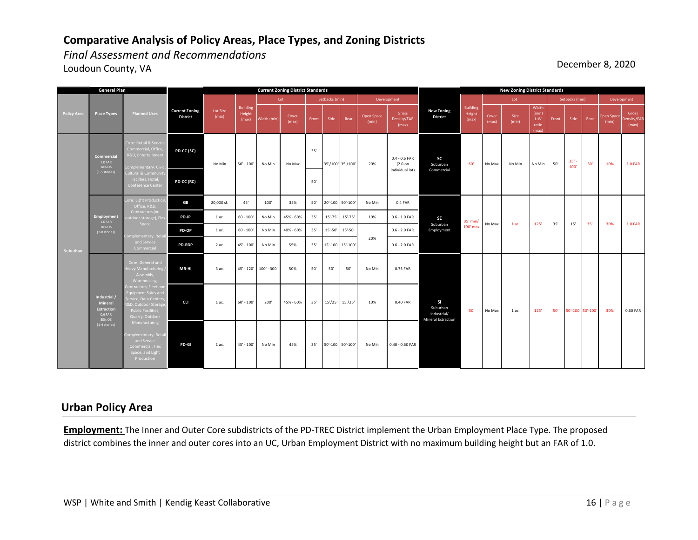*Final Assessment and Recommendations*  Loudoun County, VA **December 8, 2020** 

|                    | <b>General Plan</b>                                               |                                                                                                                                                      |                                          | <b>Current Zoning District Standards</b> |                                    |                        |                |       |                   |                   |                     |                                                 |                                                                   |                                    |                | <b>New Zoning District Standards</b> |                                         |                |             |                   |                     |                               |  |  |  |
|--------------------|-------------------------------------------------------------------|------------------------------------------------------------------------------------------------------------------------------------------------------|------------------------------------------|------------------------------------------|------------------------------------|------------------------|----------------|-------|-------------------|-------------------|---------------------|-------------------------------------------------|-------------------------------------------------------------------|------------------------------------|----------------|--------------------------------------|-----------------------------------------|----------------|-------------|-------------------|---------------------|-------------------------------|--|--|--|
|                    |                                                                   |                                                                                                                                                      |                                          |                                          |                                    |                        | Lot            |       | Setbacks (min)    |                   |                     | Development                                     |                                                                   |                                    | Lot            |                                      |                                         | Setbacks (min) |             |                   | Development         |                               |  |  |  |
| <b>Policy Area</b> | <b>Place Types</b>                                                | <b>Planned Uses</b>                                                                                                                                  | <b>Current Zoning</b><br><b>District</b> | Lot Size<br>(min)                        | <b>Building</b><br>Height<br>(max) | Width (min)            | Cover<br>(max) | Front | Side              | Rear              | Open Space<br>(min) | Gross<br>Density/FAR<br>(max)                   | <b>New Zoning</b><br><b>District</b>                              | <b>Building</b><br>Height<br>(max) | Cover<br>(max) | Size<br>(min)                        | Width<br>(min)<br>L:W<br>ratio<br>(max) | Front          | Side        | Rear              | Open Space<br>(min) | Gross<br>Density/FAR<br>(max) |  |  |  |
|                    | Commercial<br>$1.0$ FAR<br>10% OS<br>(1-5 stories)                | Core: Retail & Service<br>Commercial, Office,<br>R&D, Entertainment<br>Complementary: Civi<br>Cultural & Communit                                    | PD-CC (SC)                               | No Min                                   | $50' - 100'$                       | No Min                 | No Max         | 35'   | 35'/100' 35'/100' |                   | 20%                 | $0.4 - 0.6$ FAR<br>$(2.0$ on<br>individual lot) | <b>SC</b><br>Suburban<br>Commercial                               | 60                                 | No Max         | No Min                               | No Min                                  | 50'            | 35'<br>100' | 50'               | 10%                 | <b>1.0 FAR</b>                |  |  |  |
|                    |                                                                   | Facilties, Hotel,<br>Conference Center                                                                                                               | PD-CC (RC)                               |                                          |                                    |                        |                | 50'   |                   |                   |                     |                                                 |                                                                   |                                    |                |                                      |                                         |                |             |                   |                     |                               |  |  |  |
|                    | Employment<br>$1.0$ FAR<br>30% OS<br>(2-8 stories)                | Core: Light Production<br>Office, R&D.                                                                                                               | <b>GB</b>                                | 20,000 sf.                               | 45'                                | 100'                   | 35%            | 50'   |                   | 20'-100' 50'-100' | No Min              | 0.4 FAR                                         |                                                                   |                                    |                |                                      |                                         |                |             |                   |                     |                               |  |  |  |
|                    |                                                                   | Contractors (no<br>outdoor storage), Flex<br>Space                                                                                                   | PD-IP                                    | 1 ac.                                    | $60 - 100$                         | No Min                 | 45% - 60%      | 35'   | $15' - 75'$       | $15' - 75'$       | 10%                 | $0.6 - 1.0$ FAR                                 | <b>SE</b><br>Suburban                                             | $35'$ min/                         | No Max         | 1 ac.                                | 125'                                    | 35'            | 15'         | 35'               | 30%                 | <b>1.0 FAR</b>                |  |  |  |
|                    |                                                                   | Complementary: Reta                                                                                                                                  | PD-OP                                    | 1 ac.                                    | $60 - 100$                         | No Min                 | 40% - 60%      | 35'   | $15' - 50'$       | 15'-50'           | 20%                 | $0.6 - 2.0$ FAR                                 | Employment                                                        | $100'$ max                         |                |                                      |                                         |                |             |                   |                     |                               |  |  |  |
| Suburban           |                                                                   | and Service<br>Commercial                                                                                                                            | <b>PD-RDP</b>                            | 2 ac.                                    | $45' - 100'$                       | No Min                 | 55%            | 35'   |                   | 15'-100' 15'-100' |                     | $0.6 - 2.0$ FAR                                 |                                                                   |                                    |                |                                      |                                         |                |             |                   |                     |                               |  |  |  |
|                    |                                                                   | Core: General and<br>Heavy Manufacturing<br>Assembly,<br>Warehousing,                                                                                | MR-HI                                    | 3 ac.                                    |                                    | 45' - 120' 100' - 300' | 50%            | 50'   | 50'               | 50'               | No Min              | 0.75 FAR                                        |                                                                   |                                    |                |                                      |                                         |                |             |                   |                     |                               |  |  |  |
|                    | Industrial /<br>Mineral<br><b>Extraction</b><br>0.6 FAR<br>30% OS | Contractors, Fleet and<br><b>Equipment Sales and</b><br>Service, Data Centers<br><b>8D, Outdoor Storage</b><br>Public Facilities,<br>Quarry, Outdoor | <b>CLI</b>                               | 1 ac.                                    | $60' - 100'$                       | 200'                   | 45% - 60%      | 35'   |                   | 15'/25' 15'/25'   | 10%                 | 0.40 FAR                                        | <b>SI</b><br>Suburban<br>Industrial/<br><b>Mineral Extraction</b> | 50'                                | No Max         | 1 ac.                                | 125'                                    | 50'            |             | 50'-100' 50'-100' | 30%                 | 0.60 FAR                      |  |  |  |
|                    | (1-4 stories)                                                     | Manufacturing<br>Complementary: Retai<br>and Service<br>Commercial, Flex<br>Space, and Light<br>Production                                           | PD-GI                                    | 1 ac.                                    | $45' - 100'$                       | No Min                 | 45%            | 35'   | 50'-100' 50'-100' |                   | No Min              | $0.40 - 0.60$ FAR                               |                                                                   |                                    |                |                                      |                                         |                |             |                   |                     |                               |  |  |  |

## **Urban Policy Area**

**Employment:** The Inner and Outer Core subdistricts of the PD-TREC District implement the Urban Employment Place Type. The proposed district combines the inner and outer cores into an UC, Urban Employment District with no maximum building height but an FAR of 1.0.